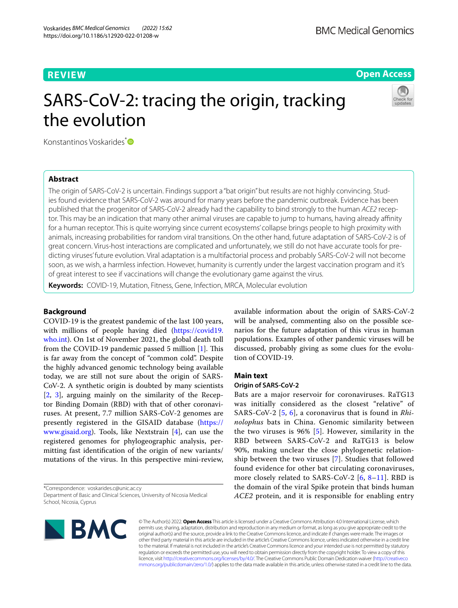### **REVIEW**

**Open Access**

# SARS-CoV-2: tracing the origin, tracking the evolution



Konstantinos Voskarides<sup>[\\*](http://orcid.org/0000-0002-3705-3451)</sup>

### **Abstract**

The origin of SARS-CoV-2 is uncertain. Findings support a "bat origin" but results are not highly convincing. Studies found evidence that SARS-CoV-2 was around for many years before the pandemic outbreak. Evidence has been published that the progenitor of SARS-CoV-2 already had the capability to bind strongly to the human *ACE2* receptor. This may be an indication that many other animal viruses are capable to jump to humans, having already affinity for a human receptor. This is quite worrying since current ecosystems' collapse brings people to high proximity with animals, increasing probabilities for random viral transitions. On the other hand, future adaptation of SARS-CoV-2 is of great concern. Virus-host interactions are complicated and unfortunately, we still do not have accurate tools for predicting viruses' future evolution. Viral adaptation is a multifactorial process and probably SARS-CoV-2 will not become soon, as we wish, a harmless infection. However, humanity is currently under the largest vaccination program and it's of great interest to see if vaccinations will change the evolutionary game against the virus.

**Keywords:** COVID-19, Mutation, Fitness, Gene, Infection, MRCA, Molecular evolution

### **Background**

COVID-19 is the greatest pandemic of the last 100 years, with millions of people having died [\(https://covid19.](https://covid19.who.int) [who.int\)](https://covid19.who.int). On 1st of November 2021, the global death toll from the COVID-19 pandemic passed 5 million  $[1]$  $[1]$ . This is far away from the concept of "common cold". Despite the highly advanced genomic technology being available today, we are still not sure about the origin of SARS-CoV-2. A synthetic origin is doubted by many scientists [[2,](#page-3-1) [3\]](#page-3-2), arguing mainly on the similarity of the Receptor Binding Domain (RBD) with that of other coronaviruses. At present, 7.7 million SARS-CoV-2 genomes are presently registered in the GISAID database [\(https://](https://www.gisaid.org) [www.gisaid.org\)](https://www.gisaid.org). Tools, like Nextstrain [[4\]](#page-3-3), can use the registered genomes for phylogeographic analysis, permitting fast identifcation of the origin of new variants/ mutations of the virus. In this perspective mini-review,

\*Correspondence: voskarides.c@unic.ac.cy Department of Basic and Clinical Sciences, University of Nicosia Medical available information about the origin of SARS-CoV-2 will be analysed, commenting also on the possible scenarios for the future adaptation of this virus in human populations. Examples of other pandemic viruses will be discussed, probably giving as some clues for the evolution of COVID-19.

### **Main text**

### **Origin of SARS‑CoV‑2**

Bats are a major reservoir for coronaviruses. RaTG13 was initially considered as the closest "relative" of SARS-CoV-2 [[5,](#page-3-4) [6\]](#page-3-5), a coronavirus that is found in *Rhinolophus* bats in China. Genomic similarity between the two viruses is 96% [[5\]](#page-3-4). However, similarity in the RBD between SARS-CoV-2 and RaTG13 is below 90%, making unclear the close phylogenetic relationship between the two viruses [\[7](#page-3-6)]. Studies that followed found evidence for other bat circulating coronaviruses, more closely related to SARS-CoV-2 [[6,](#page-3-5) [8–](#page-3-7)[11\]](#page-3-8). RBD is the domain of the viral Spike protein that binds human *ACE2* protein, and it is responsible for enabling entry



© The Author(s) 2022. **Open Access** This article is licensed under a Creative Commons Attribution 4.0 International License, which permits use, sharing, adaptation, distribution and reproduction in any medium or format, as long as you give appropriate credit to the original author(s) and the source, provide a link to the Creative Commons licence, and indicate if changes were made. The images or other third party material in this article are included in the article's Creative Commons licence, unless indicated otherwise in a credit line to the material. If material is not included in the article's Creative Commons licence and your intended use is not permitted by statutory regulation or exceeds the permitted use, you will need to obtain permission directly from the copyright holder. To view a copy of this licence, visit [http://creativecommons.org/licenses/by/4.0/.](http://creativecommons.org/licenses/by/4.0/) The Creative Commons Public Domain Dedication waiver ([http://creativeco](http://creativecommons.org/publicdomain/zero/1.0/) [mmons.org/publicdomain/zero/1.0/](http://creativecommons.org/publicdomain/zero/1.0/)) applies to the data made available in this article, unless otherwise stated in a credit line to the data.

School, Nicosia, Cyprus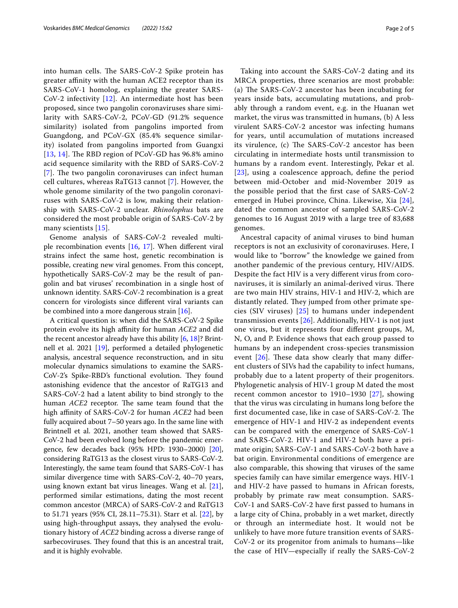into human cells. The SARS-CoV-2 Spike protein has greater afnity with the human ACE2 receptor than its SARS-CoV-1 homolog, explaining the greater SARS-CoV-2 infectivity [[12\]](#page-3-9). An intermediate host has been proposed, since two pangolin coronaviruses share similarity with SARS-CoV-2, PCoV-GD (91.2% sequence similarity) isolated from pangolins imported from Guangdong, and PCoV-GX (85.4% sequence similarity) isolated from pangolins imported from Guangxi [[13](#page-3-10), [14](#page-3-11)]. The RBD region of PCoV-GD has  $96.8\%$  amino acid sequence similarity with the RBD of SARS-CoV-2 [[7](#page-3-6)]. The two pangolin coronaviruses can infect human cell cultures, whereas RaTG13 cannot [[7\]](#page-3-6). However, the whole genome similarity of the two pangolin coronaviruses with SARS-CoV-2 is low, making their relationship with SARS-CoV-2 unclear. *Rhinolophus* bats are considered the most probable origin of SARS-CoV-2 by many scientists [[15](#page-3-12)].

Genome analysis of SARS-CoV-2 revealed multiple recombination events [[16,](#page-3-13) [17\]](#page-3-14). When diferent viral strains infect the same host, genetic recombination is possible, creating new viral genomes. From this concept, hypothetically SARS-CoV-2 may be the result of pangolin and bat viruses' recombination in a single host of unknown identity. SARS-CoV-2 recombination is a great concern for virologists since diferent viral variants can be combined into a more dangerous strain [[16\]](#page-3-13).

A critical question is: when did the SARS-CoV-2 Spike protein evolve its high affinity for human *ACE2* and did the recent ancestor already have this ability [[6,](#page-3-5) [18\]](#page-3-15)? Brintnell et al. 2021 [[19\]](#page-3-16), performed a detailed phylogenetic analysis, ancestral sequence reconstruction, and in situ molecular dynamics simulations to examine the SARS-CoV-2's Spike-RBD's functional evolution. They found astonishing evidence that the ancestor of RaTG13 and SARS-CoV-2 had a latent ability to bind strongly to the human *ACE2* receptor. The same team found that the high afnity of SARS-CoV-2 for human *ACE2* had been fully acquired about 7–50 years ago. In the same line with Brintnell et al. 2021, another team showed that SARS-CoV-2 had been evolved long before the pandemic emergence, few decades back (95% HPD: 1930–2000) [\[20](#page-3-17)], considering RaTG13 as the closest virus to SARS-CoV-2. Interestingly, the same team found that SARS-CoV-1 has similar divergence time with SARS-CoV-2, 40–70 years, using known extant bat virus lineages. Wang et al. [\[21](#page-3-18)], performed similar estimations, dating the most recent common ancestor (MRCA) of SARS-CoV-2 and RaTG13 to 51.71 years (95% CI, 28.11–75.31). Starr et al. [[22\]](#page-3-19), by using high-throughput assays, they analysed the evolutionary history of *ACE2* binding across a diverse range of sarbecoviruses. They found that this is an ancestral trait, and it is highly evolvable.

Taking into account the SARS-CoV-2 dating and its MRCA properties, three scenarios are most probable: (a) The SARS-CoV-2 ancestor has been incubating for years inside bats, accumulating mutations, and probably through a random event, e.g. in the Huanan wet market, the virus was transmitted in humans, (b) A less virulent SARS-CoV-2 ancestor was infecting humans for years, until accumulation of mutations increased its virulence, (c) The SARS-CoV-2 ancestor has been circulating in intermediate hosts until transmission to humans by a random event. Interestingly, Pekar et al. [[23](#page-3-20)], using a coalescence approach, defne the period between mid-October and mid-November 2019 as the possible period that the frst case of SARS-CoV-2 emerged in Hubei province, China. Likewise, Xia [[24\]](#page-3-21), dated the common ancestor of sampled SARS-CoV-2 genomes to 16 August 2019 with a large tree of 83,688 genomes.

Ancestral capacity of animal viruses to bind human receptors is not an exclusivity of coronaviruses. Here, I would like to "borrow" the knowledge we gained from another pandemic of the previous century, HIV/AIDS. Despite the fact HIV is a very diferent virus from coronaviruses, it is similarly an animal-derived virus. There are two main HIV strains, HIV-1 and HIV-2, which are distantly related. They jumped from other primate species (SIV viruses) [[25\]](#page-3-22) to humans under independent transmission events [[26\]](#page-3-23). Additionally, HIV-1 is not just one virus, but it represents four diferent groups, M, N, O, and P. Evidence shows that each group passed to humans by an independent cross-species transmission event  $[26]$  $[26]$ . These data show clearly that many different clusters of SIVs had the capability to infect humans, probably due to a latent property of their progenitors. Phylogenetic analysis of HIV-1 group M dated the most recent common ancestor to 1910–1930 [[27\]](#page-3-24), showing that the virus was circulating in humans long before the first documented case, like in case of SARS-CoV-2. The emergence of HIV-1 and HIV-2 as independent events can be compared with the emergence of SARS-CoV-1 and SARS-CoV-2. HIV-1 and HIV-2 both have a primate origin; SARS-CoV-1 and SARS-CoV-2 both have a bat origin. Environmental conditions of emergence are also comparable, this showing that viruses of the same species family can have similar emergence ways. HIV-1 and HIV-2 have passed to humans in African forests, probably by primate raw meat consumption. SARS-CoV-1 and SARS-CoV-2 have frst passed to humans in a large city of China, probably in a wet market, directly or through an intermediate host. It would not be unlikely to have more future transition events of SARS-CoV-2 or its progenitor from animals to humans—like the case of HIV—especially if really the SARS-CoV-2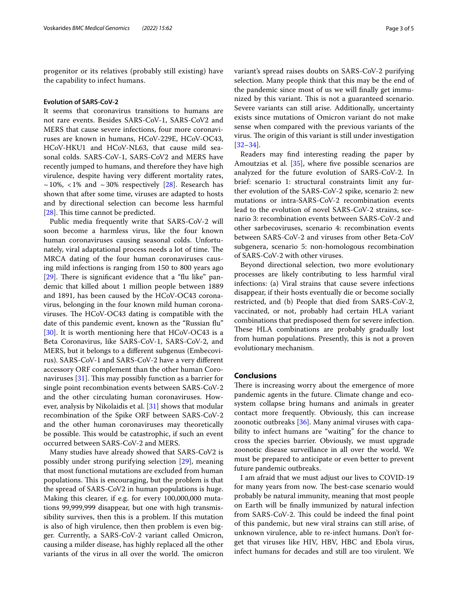progenitor or its relatives (probably still existing) have the capability to infect humans.

### **Evolution of SARS‑CoV‑2**

It seems that coronavirus transitions to humans are not rare events. Besides SARS-CoV-1, SARS-CoV2 and MERS that cause severe infections, four more coronaviruses are known in humans, HCoV-229E, HCoV-OC43, HCoV-HKU1 and HCoV-NL63, that cause mild seasonal colds. SARS-CoV-1, SARS-CoV2 and MERS have recently jumped to humans, and therefore they have high virulence, despite having very diferent mortality rates,  $\sim$  10%, <1% and  $\sim$  30% respectively [\[28](#page-3-25)]. Research has shown that after some time, viruses are adapted to hosts and by directional selection can become less harmful [ $28$ ]. This time cannot be predicted.

Public media frequently write that SARS-CoV-2 will soon become a harmless virus, like the four known human coronaviruses causing seasonal colds. Unfortunately, viral adaptational process needs a lot of time. The MRCA dating of the four human coronaviruses causing mild infections is ranging from 150 to 800 years ago [[29\]](#page-3-26). There is significant evidence that a "flu like" pandemic that killed about 1 million people between 1889 and 1891, has been caused by the HCoV-OC43 coronavirus, belonging in the four known mild human coronaviruses. The HCoV-OC43 dating is compatible with the date of this pandemic event, known as the "Russian fu" [[30\]](#page-3-27). It is worth mentioning here that HCoV-OC43 is a Beta Coronavirus, like SARS-CoV-1, SARS-CoV-2, and MERS, but it belongs to a diferent subgenus (Embecovirus). SARS-CoV-1 and SARS-CoV-2 have a very diferent accessory ORF complement than the other human Coronaviruses  $[31]$  $[31]$ . This may possibly function as a barrier for single point recombination events between SARS-CoV-2 and the other circulating human coronaviruses. However, analysis by Nikolaidis et al. [[31\]](#page-3-28) shows that modular recombination of the Spike ORF between SARS-CoV-2 and the other human coronaviruses may theoretically be possible. This would be catastrophic, if such an event occurred between SARS-CoV-2 and MERS.

Many studies have already showed that SARS-CoV2 is possibly under strong purifying selection [\[29\]](#page-3-26), meaning that most functional mutations are excluded from human populations. This is encouraging, but the problem is that the spread of SARS-CoV2 in human populations is huge. Making this clearer, if e.g. for every 100,000,000 mutations 99,999,999 disappear, but one with high transmissibility survives, then this is a problem. If this mutation is also of high virulence, then then problem is even bigger. Currently, a SARS-CoV-2 variant called Omicron, causing a milder disease, has highly replaced all the other variants of the virus in all over the world. The omicron variant's spread raises doubts on SARS-CoV-2 purifying selection. Many people think that this may be the end of the pandemic since most of us we will fnally get immunized by this variant. This is not a guaranteed scenario. Severe variants can still arise. Additionally, uncertainty exists since mutations of Omicron variant do not make sense when compared with the previous variants of the virus. The origin of this variant is still under investigation [[32–](#page-4-0)[34\]](#page-4-1).

Readers may fnd interesting reading the paper by Amoutzias et al. [[35\]](#page-4-2), where five possible scenarios are analyzed for the future evolution of SARS-CoV-2. In brief: scenario 1: structural constraints limit any further evolution of the SARS-CoV-2 spike, scenario 2: new mutations or intra-SARS-CoV-2 recombination events lead to the evolution of novel SARS-CoV-2 strains, scenario 3: recombination events between SARS-CoV-2 and other sarbecoviruses, scenario 4: recombination events between SARS-CoV-2 and viruses from other Beta-CoV subgenera, scenario 5: non-homologous recombination of SARS-CoV-2 with other viruses.

Beyond directional selection, two more evolutionary processes are likely contributing to less harmful viral infections: (a) Viral strains that cause severe infections disappear, if their hosts eventually die or become socially restricted, and (b) People that died from SARS-CoV-2, vaccinated, or not, probably had certain HLA variant combinations that predisposed them for severe infection. These HLA combinations are probably gradually lost from human populations. Presently, this is not a proven evolutionary mechanism.

### **Conclusions**

There is increasing worry about the emergence of more pandemic agents in the future. Climate change and ecosystem collapse bring humans and animals in greater contact more frequently. Obviously, this can increase zoonotic outbreaks [\[36](#page-4-3)]. Many animal viruses with capability to infect humans are "waiting" for the chance to cross the species barrier. Obviously, we must upgrade zoonotic disease surveillance in all over the world. We must be prepared to anticipate or even better to prevent future pandemic outbreaks.

I am afraid that we must adjust our lives to COVID-19 for many years from now. The best-case scenario would probably be natural immunity, meaning that most people on Earth will be fnally immunized by natural infection from SARS-CoV-2. This could be indeed the final point of this pandemic, but new viral strains can still arise, of unknown virulence, able to re-infect humans. Don't forget that viruses like HIV, HBV, HBC and Ebola virus, infect humans for decades and still are too virulent. We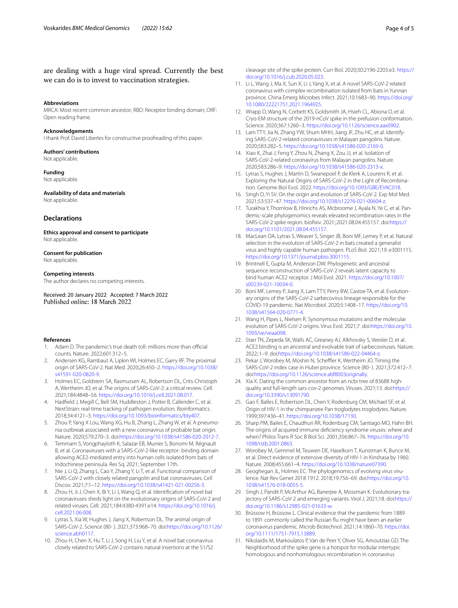### are dealing with a huge viral spread. Currently the best we can do is to invest to vaccination strategies.

#### **Abbreviations**

MRCA: Most recent common ancestor; RBD: Receptor binding domain; ORF: Open reading frame.

#### **Acknowledgements**

I thank Prof. David Liberles for constructive proofreading of this paper.

#### **Authors' contributions** Not applicable.

### **Funding**

Not applicable.

### **Availability of data and materials**

Not applicable.

### **Declarations**

**Ethics approval and consent to participate** Not applicable.

### **Consent for publication**

Not applicable.

### **Competing interests**

The author declares no competing interests.

Received: 20 January 2022 Accepted: 7 March 2022

#### **References**

- <span id="page-3-0"></span>1. Adam D. The pandemic's true death toll: millions more than official counts. Nature. 2022;601:312–5.
- <span id="page-3-1"></span>2. Andersen KG, Rambaut A, Lipkin WI, Holmes EC, Garry RF. The proximal origin of SARS-CoV-2. Nat Med. 2020;26:450–2. [https://doi.org/10.1038/](https://doi.org/10.1038/s41591-020-0820-9) [s41591-020-0820-9.](https://doi.org/10.1038/s41591-020-0820-9)
- <span id="page-3-2"></span>3. Holmes EC, Goldstein SA, Rasmussen AL, Robertson DL, Crits-Christoph A, Wertheim JO, et al. The origins of SARS-CoV-2: a critical review. Cell. 2021;184:4848–56. <https://doi.org/10.1016/j.cell.2021.08.017>.
- <span id="page-3-3"></span>4. Hadfeld J, Megill C, Bell SM, Huddleston J, Potter B, Callender C, et al. NextStrain: real-time tracking of pathogen evolution. Bioinformatics. 2018;34:4121–3. [https://doi.org/10.1093/bioinformatics/bty407.](https://doi.org/10.1093/bioinformatics/bty407)
- <span id="page-3-4"></span>5. Zhou P, Yang X Lou, Wang XG, Hu B, Zhang L, Zhang W, et al. A pneumonia outbreak associated with a new coronavirus of probable bat origin. Nature. 2020;579:270–3. doi[:https://doi.org/10.1038/s41586-020-2012-7](https://doi.org/10.1038/s41586-020-2012-7).
- <span id="page-3-5"></span>Temmam S, Vongphayloth K, Salazar EB, Munier S, Bonomi M, Régnault B, et al. Coronaviruses with a SARS-CoV-2-like receptor- binding domain allowing ACE2-mediated entry into human cells isolated from bats of Indochinese peninsula. Res Sq. 2021; September 17th.
- <span id="page-3-6"></span>7. Nie J, Li Q, Zhang L, Cao Y, Zhang Y, Li T, et al. Functional comparison of SARS-CoV-2 with closely related pangolin and bat coronaviruses. Cell Discov. 2021;7:1–12. <https://doi.org/10.1038/s41421-021-00256-3>.
- <span id="page-3-7"></span>8. Zhou H, Ji J, Chen X, Bi Y, Li J, Wang Q, et al. Identifcation of novel bat coronaviruses sheds light on the evolutionary origins of SARS-CoV-2 and related viruses. Cell. 2021;184:4380-4391.e14. [https://doi.org/10.1016/j.](https://doi.org/10.1016/j.cell.2021.06.008) [cell.2021.06.008.](https://doi.org/10.1016/j.cell.2021.06.008)
- 9. Lytras S, Xia W, Hughes J, Jiang X, Robertson DL. The animal origin of SARS-CoV-2. Science (80- ). 2021;373:968–70. doi:[https://doi.org/10.1126/](https://doi.org/10.1126/science.abh0117) [science.abh0117](https://doi.org/10.1126/science.abh0117).
- 10. Zhou H, Chen X, Hu T, Li J, Song H, Liu Y, et al. A novel bat coronavirus closely related to SARS-CoV-2 contains natural insertions at the S1/S2

cleavage site of the spike protein. Curr Biol. 2020;30:2196-2203.e3. [https://](https://doi.org/10.1016/j.cub.2020.05.023) [doi.org/10.1016/j.cub.2020.05.023](https://doi.org/10.1016/j.cub.2020.05.023).

- <span id="page-3-8"></span>11. Li L, Wang J, Ma X, Sun X, Li J, Yang X, et al. A novel SARS-CoV-2 related coronavirus with complex recombination isolated from bats in Yunnan province. China Emerg Microbes Infect. 2021;10:1683–90. [https://doi.org/](https://doi.org/10.1080/22221751.2021.1964925) [10.1080/22221751.2021.1964925.](https://doi.org/10.1080/22221751.2021.1964925)
- <span id="page-3-9"></span>12. Wrapp D, Wang N, Corbett KS, Goldsmith JA, Hsieh CL, Abiona O, et al. Cryo-EM structure of the 2019-nCoV spike in the prefusion conformation. Science. 2020;367:1260–3. [https://doi.org/10.1126/science.aax0902.](https://doi.org/10.1126/science.aax0902)
- <span id="page-3-10"></span>13. Lam TTY, Jia N, Zhang YW, Shum MHH, Jiang JF, Zhu HC, et al. Identifying SARS-CoV-2-related coronaviruses in Malayan pangolins. Nature. 2020;583:282–5.<https://doi.org/10.1038/s41586-020-2169-0>.
- <span id="page-3-11"></span>14. Xiao K, Zhai J, Feng Y, Zhou N, Zhang X, Zou JJ, et al. Isolation of SARS-CoV-2-related coronavirus from Malayan pangolins. Nature. 2020;583:286–9. [https://doi.org/10.1038/s41586-020-2313-x.](https://doi.org/10.1038/s41586-020-2313-x)
- <span id="page-3-12"></span>15. Lytras S, Hughes J, Martin D, Swanepoel P, de Klerk A, Lourens R, et al. Exploring the Natural Origins of SARS-CoV-2 in the Light of Recombination. Genome Biol Evol. 2022. [https://doi.org/10.1093/GBE/EVAC018.](https://doi.org/10.1093/GBE/EVAC018)
- <span id="page-3-13"></span>16. Singh D, Yi SV. On the origin and evolution of SARS-CoV-2. Exp Mol Med. 2021;53:537–47.<https://doi.org/10.1038/s12276-021-00604-z>.
- <span id="page-3-14"></span>17. Turakhia Y, Thornlow B, Hinrichs AS, Mcbroome J, Ayala N, Ye C, et al. Pandemic-scale phylogenomics reveals elevated recombination rates in the SARS-CoV-2 spike region. bioRxiv. 2021;:2021.08.04.455157. doi:[https://](https://doi.org/10.1101/2021.08.04.455157) [doi.org/10.1101/2021.08.04.455157.](https://doi.org/10.1101/2021.08.04.455157)
- <span id="page-3-15"></span>18. MacLean OA, Lytras S, Weaver S, Singer JB, Boni MF, Lemey P, et al. Natural selection in the evolution of SARS-CoV-2 in bats created a generalist virus and highly capable human pathogen. PLoS Biol. 2021;19: e3001115. <https://doi.org/10.1371/journal.pbio.3001115>.
- <span id="page-3-16"></span>19. Brintnell E, Gupta M, Anderson DW. Phylogenetic and ancestral sequence reconstruction of SARS-CoV-2 reveals latent capacity to bind human ACE2 receptor. J Mol Evol. 2021. [https://doi.org/10.1007/](https://doi.org/10.1007/s00239-021-10034-0) [s00239-021-10034-0](https://doi.org/10.1007/s00239-021-10034-0).
- <span id="page-3-17"></span>20. Boni MF, Lemey P, Jiang X, Lam TTY, Perry BW, Castoe TA, et al. Evolutionary origins of the SARS-CoV-2 sarbecovirus lineage responsible for the COVID-19 pandemic. Nat Microbiol. 2020;5:1408–17. [https://doi.org/10.](https://doi.org/10.1038/s41564-020-0771-4) [1038/s41564-020-0771-4](https://doi.org/10.1038/s41564-020-0771-4).
- <span id="page-3-18"></span>21. Wang H, Pipes L, Nielsen R. Synonymous mutations and the molecular evolution of SARS-CoV-2 origins. Virus Evol. 2021;7. doi:[https://doi.org/10.](https://doi.org/10.1093/ve/veaa098) [1093/ve/veaa098](https://doi.org/10.1093/ve/veaa098).
- <span id="page-3-19"></span>22. Starr TN, Zepeda SK, Walls AC, Greaney AJ, Alkhovsky S, Veesler D, et al. ACE2 binding is an ancestral and evolvable trait of sarbecoviruses. Nature. 2022;:1–9. doi:[https://doi.org/10.1038/s41586-022-04464-z.](https://doi.org/10.1038/s41586-022-04464-z)
- <span id="page-3-20"></span>23. Pekar J, Worobey M, Moshiri N, Scheffler K, Wertheim JO. Timing the SARS-CoV-2 index case in Hubei province. Science (80- ). 2021;372:412–7. doi:<https://doi.org/10.1126/science.abf8003originally>.
- <span id="page-3-21"></span>24. Xia X. Dating the common ancestor from an ncbi tree of 83688 highquality and full-length sars-cov-2 genomes. Viruses. 2021;13. doi:[https://](https://doi.org/10.3390/v13091790) [doi.org/10.3390/v13091790](https://doi.org/10.3390/v13091790).
- <span id="page-3-22"></span>25. Gao F, Balles E, Robertson DL, Chen Y, Rodenburg CM, Michael SF, et al. Origin of HIV-1 in the chimpanzee Pan troglodytes troglodytes. Nature. 1999;397:436–41. <https://doi.org/10.1038/17130>.
- <span id="page-3-23"></span>26. Sharp PM, Bailes E, Chaudhuri RR, Rodenburg CM, Santiago MO, Hahn BH. The origins of acquired immune defciency syndrome viruses: where and when? Philos Trans R Soc B Biol Sci. 2001;356:867–76. [https://doi.org/10.](https://doi.org/10.1098/rstb.2001.0863) [1098/rstb.2001.0863](https://doi.org/10.1098/rstb.2001.0863).
- <span id="page-3-24"></span>27. Worobey M, Gemmel M, Teuwen DE, Haselkorn T, Kunstman K, Bunce M, et al. Direct evidence of extensive diversity of HIV-1 in Kinshasa by 1960. Nature. 2008;455:661–4.<https://doi.org/10.1038/nature07390>.
- <span id="page-3-25"></span>28. Geoghegan JL, Holmes EC. The phylogenomics of evolving virus virulence. Nat Rev Genet 2018 1912. 2018;19:756–69. doi:[https://doi.org/10.](https://doi.org/10.1038/s41576-018-0055-5) [1038/s41576-018-0055-5](https://doi.org/10.1038/s41576-018-0055-5).
- <span id="page-3-26"></span>29. Singh J, Pandit P, McArthur AG, Banerjee A, Mossman K. Evolutionary trajectory of SARS-CoV-2 and emerging variants. Virol J. 2021;18. doi:[https://](https://doi.org/10.1186/s12985-021-01633-w) [doi.org/10.1186/s12985-021-01633-w.](https://doi.org/10.1186/s12985-021-01633-w)
- <span id="page-3-27"></span>30. Brüssow H, Brüssow L. Clinical evidence that the pandemic from 1889 to 1891 commonly called the Russian fu might have been an earlier coronavirus pandemic. Microb Biotechnol. 2021;14:1860–70. [https://doi.](https://doi.org/10.1111/1751-7915.13889) [org/10.1111/1751-7915.13889.](https://doi.org/10.1111/1751-7915.13889)
- <span id="page-3-28"></span>31. Nikolaidis M, Markoulatos P, Van de Peer Y, Oliver SG, Amoutzias GD. The Neighborhood of the spike gene is a hotspot for modular intertypic homologous and nonhomologous recombination in coronavirus